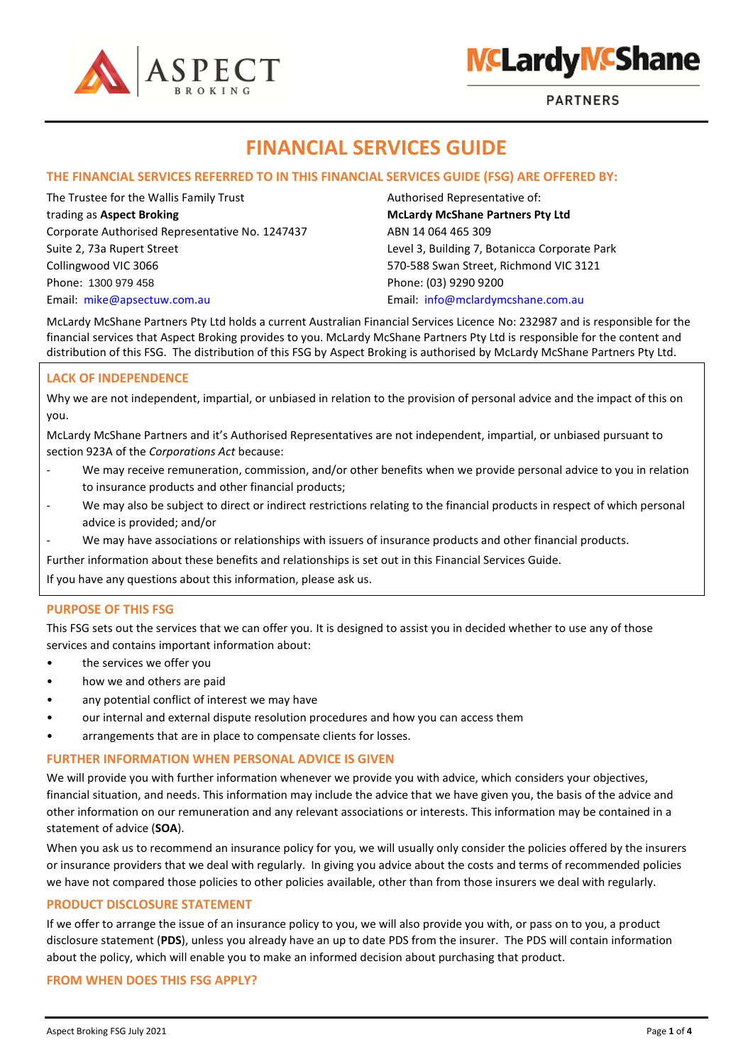

# **NCLardy NCShane**

**PARTNERS** 

# **FINANCIAL SERVICES GUIDE**

### **THE FINANCIAL SERVICES REFERRED TO IN THIS FINANCIAL SERVICES GUIDE (FSG) ARE OFFERED BY:**

The Trustee for the Wallis Family Trust Authorised Representative of: trading as **Aspect Broking McLardy McShane Partners Pty Ltd** Corporate Authorised Representative No. 1247437 ABN 14 064 465 309 Suite 2, 73a Rupert Street Level 3, Building 7, Botanicca Corporate Park Collingwood VIC 3066 570-588 Swan Street, Richmond VIC 3121 Phone: 1300 979 458 Phone: (03) 9290 9200 Email: [mike@apsectuw.com.au](mailto:mike@apsectuw.com.au) Email: [info@mclardymcshane.com.au](mailto:info@mclardymcshane.com.au)

McLardy McShane Partners Pty Ltd holds a current Australian Financial Services Licence No: 232987 and is responsible for the financial services that Aspect Broking provides to you. McLardy McShane Partners Pty Ltd is responsible for the content and distribution of this FSG. The distribution of this FSG by Aspect Broking is authorised by McLardy McShane Partners Pty Ltd.

### **LACK OF INDEPENDENCE**

Why we are not independent, impartial, or unbiased in relation to the provision of personal advice and the impact of this on you.

McLardy McShane Partners and it's Authorised Representatives are not independent, impartial, or unbiased pursuant to section 923A of the *Corporations Act* because:

- We may receive remuneration, commission, and/or other benefits when we provide personal advice to you in relation to insurance products and other financial products;
- We may also be subject to direct or indirect restrictions relating to the financial products in respect of which personal advice is provided; and/or
- We may have associations or relationships with issuers of insurance products and other financial products.

Further information about these benefits and relationships is set out in this Financial Services Guide.

If you have any questions about this information, please ask us.

#### **PURPOSE OF THIS FSG**

This FSG sets out the services that we can offer you. It is designed to assist you in decided whether to use any of those services and contains important information about:

- the services we offer you
- how we and others are paid
- any potential conflict of interest we may have
- our internal and external dispute resolution procedures and how you can access them
- arrangements that are in place to compensate clients for losses.

#### **FURTHER INFORMATION WHEN PERSONAL ADVICE IS GIVEN**

We will provide you with further information whenever we provide you with advice, which considers your objectives, financial situation, and needs. This information may include the advice that we have given you, the basis of the advice and other information on our remuneration and any relevant associations or interests. This information may be contained in a statement of advice (**SOA**).

When you ask us to recommend an insurance policy for you, we will usually only consider the policies offered by the insurers or insurance providers that we deal with regularly. In giving you advice about the costs and terms of recommended policies we have not compared those policies to other policies available, other than from those insurers we deal with regularly.

#### **PRODUCT DISCLOSURE STATEMENT**

If we offer to arrange the issue of an insurance policy to you, we will also provide you with, or pass on to you, a product disclosure statement (**PDS**), unless you already have an up to date PDS from the insurer. The PDS will contain information about the policy, which will enable you to make an informed decision about purchasing that product.

#### **FROM WHEN DOES THIS FSG APPLY?**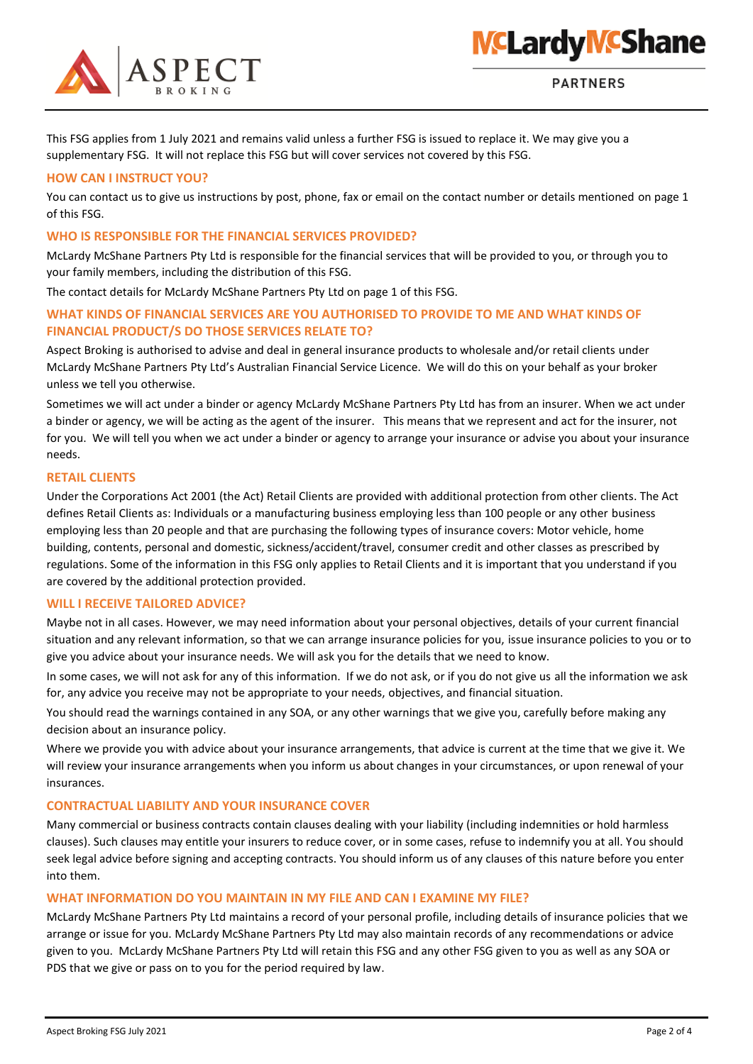

This FSG applies from 1 July 2021 and remains valid unless a further FSG is issued to replace it. We may give you a supplementary FSG. It will not replace this FSG but will cover services not covered by this FSG.

# **HOW CAN I INSTRUCT YOU?**

You can contact us to give us instructions by post, phone, fax or email on the contact number or details mentioned on page 1 of this FSG.

# **WHO IS RESPONSIBLE FOR THE FINANCIAL SERVICES PROVIDED?**

McLardy McShane Partners Pty Ltd is responsible for the financial services that will be provided to you, or through you to your family members, including the distribution of this FSG.

The contact details for McLardy McShane Partners Pty Ltd on page 1 of this FSG.

# **WHAT KINDS OF FINANCIAL SERVICES ARE YOU AUTHORISED TO PROVIDE TO ME AND WHAT KINDS OF FINANCIAL PRODUCT/S DO THOSE SERVICES RELATE TO?**

Aspect Broking is authorised to advise and deal in general insurance products to wholesale and/or retail clients under McLardy McShane Partners Pty Ltd's Australian Financial Service Licence. We will do this on your behalf as your broker unless we tell you otherwise.

Sometimes we will act under a binder or agency McLardy McShane Partners Pty Ltd has from an insurer. When we act under a binder or agency, we will be acting as the agent of the insurer. This means that we represent and act for the insurer, not for you. We will tell you when we act under a binder or agency to arrange your insurance or advise you about your insurance needs.

#### **RETAIL CLIENTS**

Under the Corporations Act 2001 (the Act) Retail Clients are provided with additional protection from other clients. The Act defines Retail Clients as: Individuals or a manufacturing business employing less than 100 people or any other business employing less than 20 people and that are purchasing the following types of insurance covers: Motor vehicle, home building, contents, personal and domestic, sickness/accident/travel, consumer credit and other classes as prescribed by regulations. Some of the information in this FSG only applies to Retail Clients and it is important that you understand if you are covered by the additional protection provided.

#### **WILL I RECEIVE TAILORED ADVICE?**

Maybe not in all cases. However, we may need information about your personal objectives, details of your current financial situation and any relevant information, so that we can arrange insurance policies for you, issue insurance policies to you or to give you advice about your insurance needs. We will ask you for the details that we need to know.

In some cases, we will not ask for any of this information. If we do not ask, or if you do not give us all the information we ask for, any advice you receive may not be appropriate to your needs, objectives, and financial situation.

You should read the warnings contained in any SOA, or any other warnings that we give you, carefully before making any decision about an insurance policy.

Where we provide you with advice about your insurance arrangements, that advice is current at the time that we give it. We will review your insurance arrangements when you inform us about changes in your circumstances, or upon renewal of your insurances.

#### **CONTRACTUAL LIABILITY AND YOUR INSURANCE COVER**

Many commercial or business contracts contain clauses dealing with your liability (including indemnities or hold harmless clauses). Such clauses may entitle your insurers to reduce cover, or in some cases, refuse to indemnify you at all. You should seek legal advice before signing and accepting contracts. You should inform us of any clauses of this nature before you enter into them.

#### **WHAT INFORMATION DO YOU MAINTAIN IN MY FILE AND CAN I EXAMINE MY FILE?**

McLardy McShane Partners Pty Ltd maintains a record of your personal profile, including details of insurance policies that we arrange or issue for you. McLardy McShane Partners Pty Ltd may also maintain records of any recommendations or advice given to you. McLardy McShane Partners Pty Ltd will retain this FSG and any other FSG given to you as well as any SOA or PDS that we give or pass on to you for the period required by law.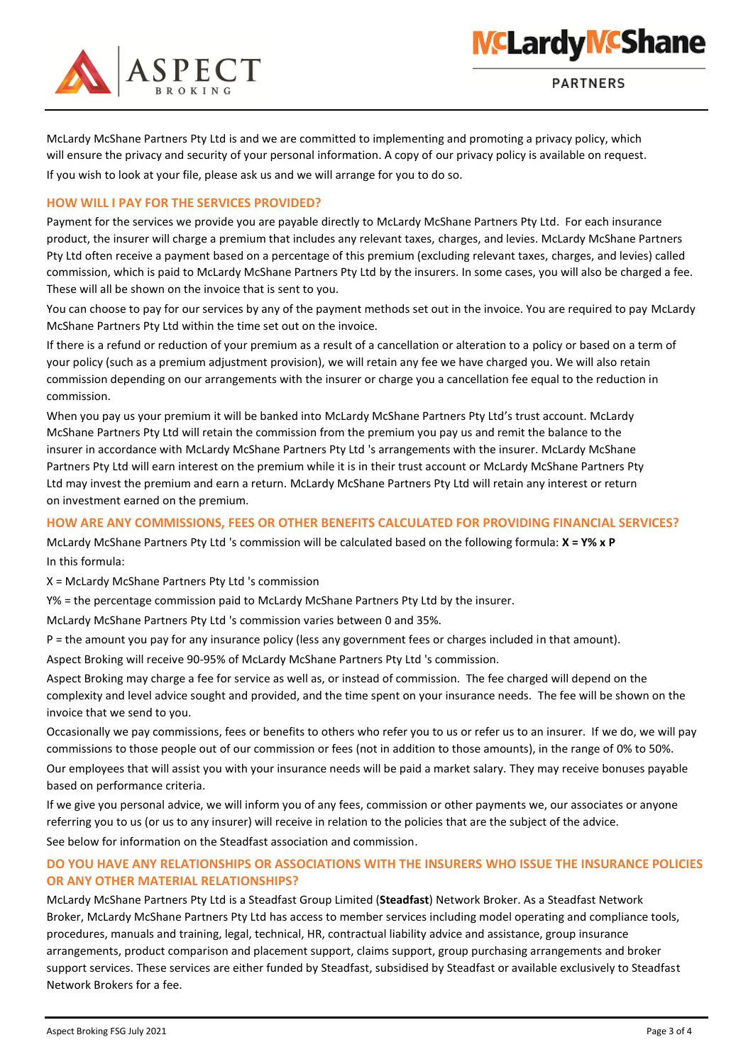

**NCLardy NCShane** 

McLardy McShane Partners Pty Ltd is and we are committed to implementing and promoting a privacy policy, which will ensure the privacy and security of your personal information. A copy of our privacy policy is available on request. If you wish to look at your file, please ask us and we will arrange for you to do so.

#### **HOW WILL I PAY FOR THE SERVICES PROVIDED?**

Payment for the services we provide you are payable directly to McLardy McShane Partners Pty Ltd. For each insurance product, the insurer will charge a premium that includes any relevant taxes, charges, and levies. McLardy McShane Partners Pty Ltd often receive a payment based on a percentage of this premium (excluding relevant taxes, charges, and levies) called commission, which is paid to McLardy McShane Partners Pty Ltd by the insurers. In some cases, you will also be charged a fee. These will all be shown on the invoice that is sent to you.

You can choose to pay for our services by any of the payment methods set out in the invoice. You are required to pay McLardy McShane Partners Pty Ltd within the time set out on the invoice.

If there is a refund or reduction of your premium as a result of a cancellation or alteration to a policy or based on a term of your policy (such as a premium adjustment provision), we will retain any fee we have charged you. We will also retain commission depending on our arrangements with the insurer or charge you a cancellation fee equal to the reduction in commission.

When you pay us your premium it will be banked into McLardy McShane Partners Pty Ltd's trust account. McLardy McShane Partners Pty Ltd will retain the commission from the premium you pay us and remit the balance to the insurer in accordance with McLardy McShane Partners Pty Ltd 's arrangements with the insurer. McLardy McShane Partners Pty Ltd will earn interest on the premium while it is in their trust account or McLardy McShane Partners Pty Ltd may invest the premium and earn a return. McLardy McShane Partners Pty Ltd will retain any interest or return on investment earned on the premium.

#### **HOW ARE ANY COMMISSIONS, FEES OR OTHER BENEFITS CALCULATED FOR PROVIDING FINANCIAL SERVICES?**

McLardy McShane Partners Pty Ltd 's commission will be calculated based on the following formula: **X = Y% x P**  In this formula:

X = McLardy McShane Partners Pty Ltd 's commission

Y% = the percentage commission paid to McLardy McShane Partners Pty Ltd by the insurer.

McLardy McShane Partners Pty Ltd 's commission varies between 0 and 35%.

P = the amount you pay for any insurance policy (less any government fees or charges included in that amount).

Aspect Broking will receive 90-95% of McLardy McShane Partners Pty Ltd 's commission.

Aspect Broking may charge a fee for service as well as, or instead of commission. The fee charged will depend on the complexity and level advice sought and provided, and the time spent on your insurance needs. The fee will be shown on the invoice that we send to you.

Occasionally we pay commissions, fees or benefits to others who refer you to us or refer us to an insurer. If we do, we will pay commissions to those people out of our commission or fees (not in addition to those amounts), in the range of 0% to 50%. Our employees that will assist you with your insurance needs will be paid a market salary. They may receive bonuses payable based on performance criteria.

If we give you personal advice, we will inform you of any fees, commission or other payments we, our associates or anyone referring you to us (or us to any insurer) will receive in relation to the policies that are the subject of the advice.

See below for information on the Steadfast association and commission.

# **DO YOU HAVE ANY RELATIONSHIPS OR ASSOCIATIONS WITH THE INSURERS WHO ISSUE THE INSURANCE POLICIES OR ANY OTHER MATERIAL RELATIONSHIPS?**

McLardy McShane Partners Pty Ltd is a Steadfast Group Limited (**Steadfast**) Network Broker. As a Steadfast Network Broker, McLardy McShane Partners Pty Ltd has access to member services including model operating and compliance tools, procedures, manuals and training, legal, technical, HR, contractual liability advice and assistance, group insurance arrangements, product comparison and placement support, claims support, group purchasing arrangements and broker support services. These services are either funded by Steadfast, subsidised by Steadfast or available exclusively to Steadfast Network Brokers for a fee.